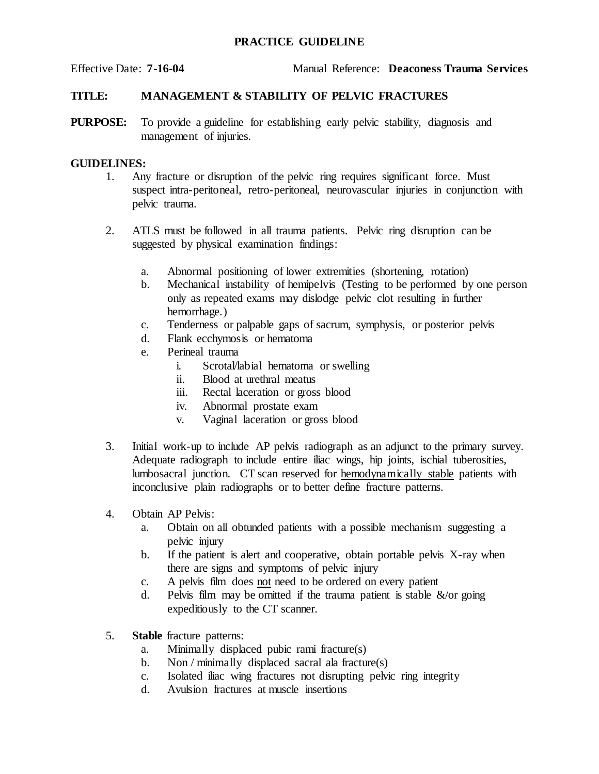## **PRACTICE GUIDELINE**

Effective Date: **7-16-04** Manual Reference: **Deaconess Trauma Services**

## **TITLE: MANAGEMENT & STABILITY OF PELVIC FRACTURES**

**PURPOSE:** To provide a guideline for establishing early pelvic stability, diagnosis and management of injuries.

## **GUIDELINES:**

- 1. Any fracture or disruption of the pelvic ring requires significant force. Must suspect intra-peritoneal, retro-peritoneal, neurovascular injuries in conjunction with pelvic trauma.
- 2. ATLS must be followed in all trauma patients. Pelvic ring disruption can be suggested by physical examination findings:
	- a. Abnormal positioning of lower extremities (shortening, rotation)
	- b. Mechanical instability of hemipelvis (Testing to be performed by one person only as repeated exams may dislodge pelvic clot resulting in further hemorrhage.)
	- c. Tenderness or palpable gaps of sacrum, symphysis, or posterior pelvis
	- d. Flank ecchymosis or hematoma
	- e. Perineal trauma
		- i. Scrotal/labial hematoma or swelling
		- ii. Blood at urethral meatus
		- iii. Rectal laceration or gross blood
		- iv. Abnormal prostate exam
		- v. Vaginal laceration or gross blood
- 3. Initial work-up to include AP pelvis radiograph as an adjunct to the primary survey. Adequate radiograph to include entire iliac wings, hip joints, ischial tuberosities, lumbosacral junction. CT scan reserved for hemodynamically stable patients with inconclusive plain radiographs or to better define fracture patterns.
- 4. Obtain AP Pelvis:
	- a. Obtain on all obtunded patients with a possible mechanism suggesting a pelvic injury
	- b. If the patient is alert and cooperative, obtain portable pelvis X-ray when there are signs and symptoms of pelvic injury
	- c. A pelvis film does not need to be ordered on every patient
	- d. Pelvis film may be omitted if the trauma patient is stable  $\&$ /or going expeditiously to the CT scanner.
- 5. **Stable** fracture patterns:
	- a. Minimally displaced pubic rami fracture(s)
	- b. Non / minimally displaced sacral ala fracture(s)
	- c. Isolated iliac wing fractures not disrupting pelvic ring integrity
	- d. Avulsion fractures at muscle insertions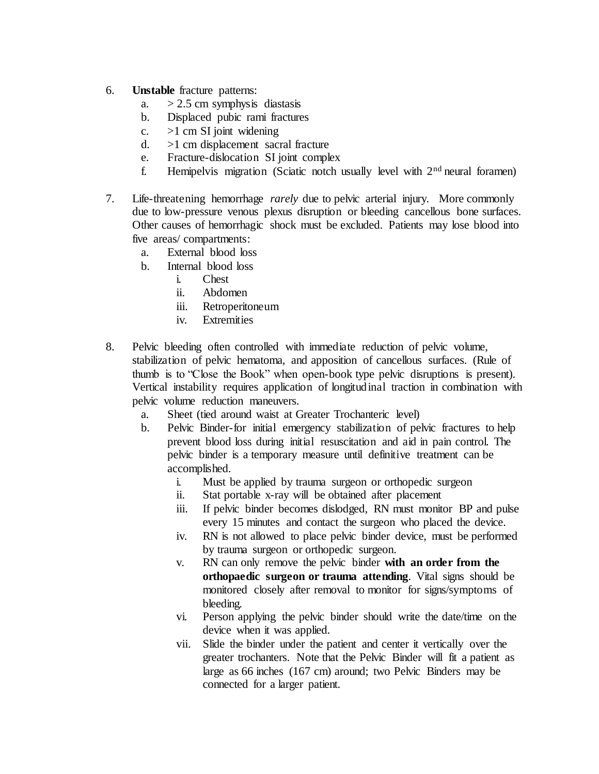- 6. **Unstable** fracture patterns:
	- a.  $> 2.5$  cm symphysis diastasis
	- b. Displaced pubic rami fractures
	- c.  $>1$  cm SI joint widening
	- d. >1 cm displacement sacral fracture
	- e. Fracture-dislocation SI joint complex
	- f. Hemipelvis migration (Sciatic notch usually level with  $2<sup>nd</sup>$  neural foramen)
- 7. Life-threatening hemorrhage *rarely* due to pelvic arterial injury. More commonly due to low-pressure venous plexus disruption or bleeding cancellous bone surfaces. Other causes of hemorrhagic shock must be excluded. Patients may lose blood into five areas/ compartments:
	- a. External blood loss
	- b. Internal blood loss
		- i. Chest
		- ii. Abdomen
		- iii. Retroperitoneum
		- iv. Extremities
- 8. Pelvic bleeding often controlled with immediate reduction of pelvic volume, stabilization of pelvic hematoma, and apposition of cancellous surfaces. (Rule of thumb is to "Close the Book" when open-book type pelvic disruptions is present). Vertical instability requires application of longitudinal traction in combination with pelvic volume reduction maneuvers.
	- a. Sheet (tied around waist at Greater Trochanteric level)
	- b. Pelvic Binder-for initial emergency stabilization of pelvic fractures to help prevent blood loss during initial resuscitation and aid in pain control. The pelvic binder is a temporary measure until definitive treatment can be accomplished.
		- i. Must be applied by trauma surgeon or orthopedic surgeon
		- ii. Stat portable x-ray will be obtained after placement
		- iii. If pelvic binder becomes dislodged, RN must monitor BP and pulse every 15 minutes and contact the surgeon who placed the device.
		- iv. RN is not allowed to place pelvic binder device, must be performed by trauma surgeon or orthopedic surgeon.
		- v. RN can only remove the pelvic binder **with an order from the orthopaedic surgeon or trauma attending**. Vital signs should be monitored closely after removal to monitor for signs/symptoms of bleeding.
		- vi. Person applying the pelvic binder should write the date/time on the device when it was applied.
		- vii. Slide the binder under the patient and center it vertically over the greater trochanters. Note that the Pelvic Binder will fit a patient as large as 66 inches (167 cm) around; two Pelvic Binders may be connected for a larger patient.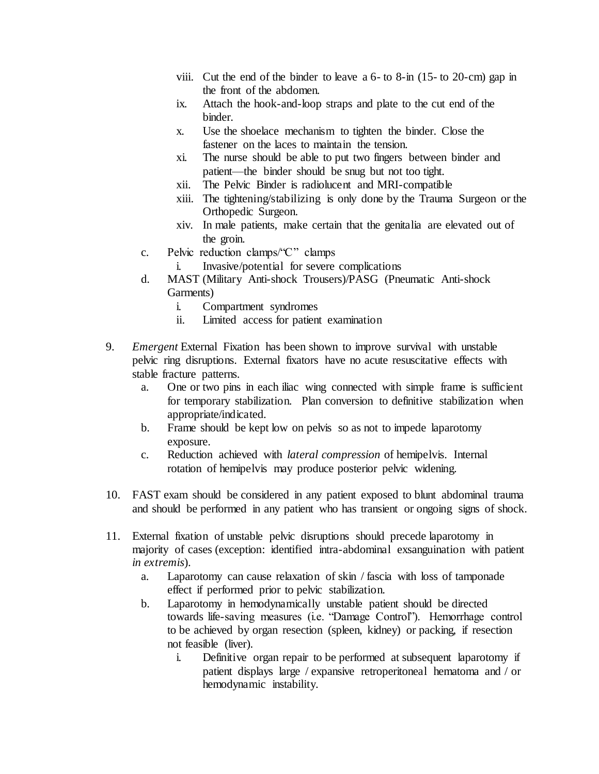- viii. Cut the end of the binder to leave a 6- to 8-in (15- to 20-cm) gap in the front of the abdomen.
- ix. Attach the hook-and-loop straps and plate to the cut end of the binder.
- x. Use the shoelace mechanism to tighten the binder. Close the fastener on the laces to maintain the tension.
- xi. The nurse should be able to put two fingers between binder and patient—the binder should be snug but not too tight.
- xii. The Pelvic Binder is radiolucent and MRI-compatible
- xiii. The tightening/stabilizing is only done by the Trauma Surgeon or the Orthopedic Surgeon.
- xiv. In male patients, make certain that the genitalia are elevated out of the groin.
- c. Pelvic reduction clamps/"C" clamps
	- i. Invasive/potential for severe complications
- d. MAST (Military Anti-shock Trousers)/PASG (Pneumatic Anti-shock Garments)
	- i. Compartment syndromes
	- ii. Limited access for patient examination
- 9. *Emergent* External Fixation has been shown to improve survival with unstable pelvic ring disruptions. External fixators have no acute resuscitative effects with stable fracture patterns.
	- a. One or two pins in each iliac wing connected with simple frame is sufficient for temporary stabilization. Plan conversion to definitive stabilization when appropriate/indicated.
	- b. Frame should be kept low on pelvis so as not to impede laparotomy exposure.
	- c. Reduction achieved with *lateral compression* of hemipelvis. Internal rotation of hemipelvis may produce posterior pelvic widening.
- 10. FAST exam should be considered in any patient exposed to blunt abdominal trauma and should be performed in any patient who has transient or ongoing signs of shock.
- 11. External fixation of unstable pelvic disruptions should precede laparotomy in majority of cases (exception: identified intra-abdominal exsanguination with patient *in extremis*).
	- a. Laparotomy can cause relaxation of skin / fascia with loss of tamponade effect if performed prior to pelvic stabilization.
	- b. Laparotomy in hemodynamically unstable patient should be directed towards life-saving measures (i.e. "Damage Control"). Hemorrhage control to be achieved by organ resection (spleen, kidney) or packing, if resection not feasible (liver).
		- i. Definitive organ repair to be performed at subsequent laparotomy if patient displays large / expansive retroperitoneal hematoma and / or hemodynamic instability.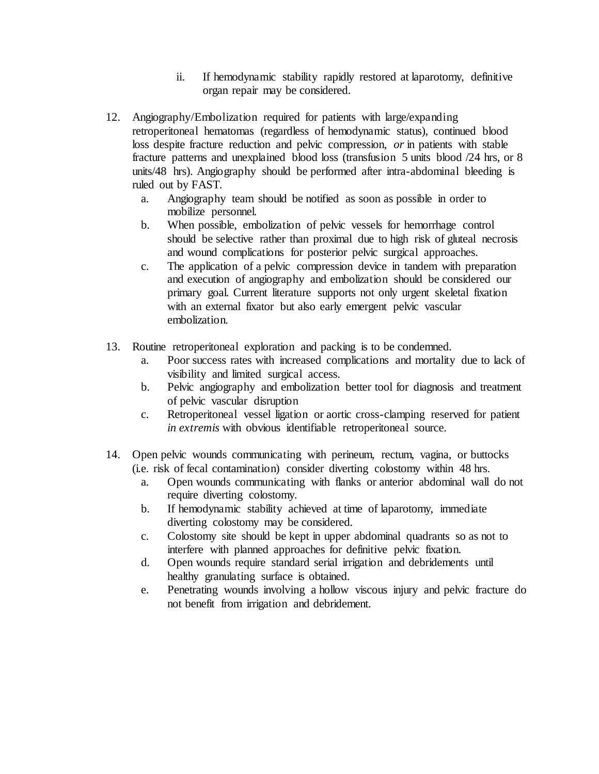- ii. If hemodynamic stability rapidly restored at laparotomy, definitive organ repair may be considered.
- 12. Angiography/Embolization required for patients with large/expanding retroperitoneal hematomas (regardless of hemodynamic status), continued blood loss despite fracture reduction and pelvic compression, *or* in patients with stable fracture patterns and unexplained blood loss (transfusion 5 units blood /24 hrs, or 8 units/48 hrs). Angiography should be performed after intra-abdominal bleeding is ruled out by FAST.
	- a. Angiography team should be notified as soon as possible in order to mobilize personnel.
	- b. When possible, embolization of pelvic vessels for hemorrhage control should be selective rather than proximal due to high risk of gluteal necrosis and wound complications for posterior pelvic surgical approaches.
	- c. The application of a pelvic compression device in tandem with preparation and execution of angiography and embolization should be considered our primary goal. Current literature supports not only urgent skeletal fixation with an external fixator but also early emergent pelvic vascular embolization.
- 13. Routine retroperitoneal exploration and packing is to be condemned.
	- a. Poor success rates with increased complications and mortality due to lack of visibility and limited surgical access.
	- b. Pelvic angiography and embolization better tool for diagnosis and treatment of pelvic vascular disruption
	- c. Retroperitoneal vessel ligation or aortic cross-clamping reserved for patient *in extremis* with obvious identifiable retroperitoneal source.
- 14. Open pelvic wounds communicating with perineum, rectum, vagina, or buttocks (i.e. risk of fecal contamination) consider diverting colostomy within 48 hrs.
	- a. Open wounds communicating with flanks or anterior abdominal wall do not require diverting colostomy.
	- b. If hemodynamic stability achieved at time of laparotomy, immediate diverting colostomy may be considered.
	- c. Colostomy site should be kept in upper abdominal quadrants so as not to interfere with planned approaches for definitive pelvic fixation.
	- d. Open wounds require standard serial irrigation and debridements until healthy granulating surface is obtained.
	- e. Penetrating wounds involving a hollow viscous injury and pelvic fracture do not benefit from irrigation and debridement.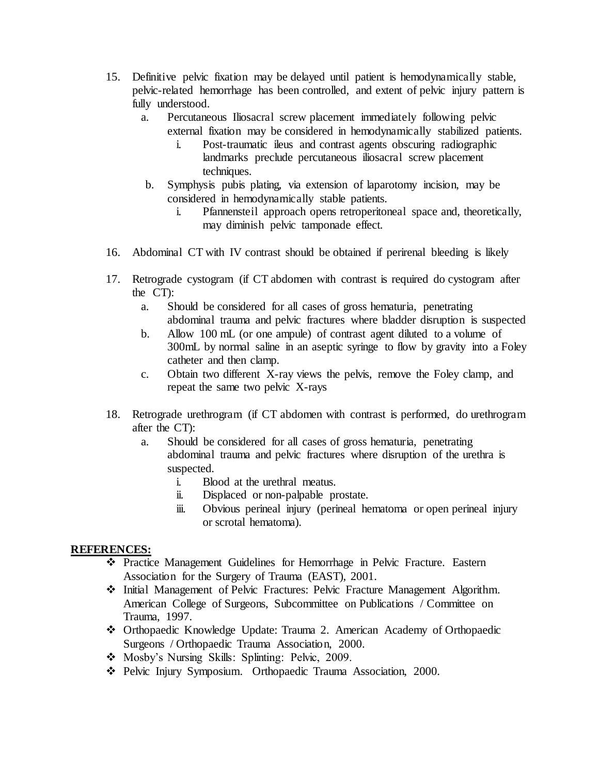- 15. Definitive pelvic fixation may be delayed until patient is hemodynamically stable, pelvic-related hemorrhage has been controlled, and extent of pelvic injury pattern is fully understood.
	- a. Percutaneous Iliosacral screw placement immediately following pelvic external fixation may be considered in hemodynamically stabilized patients.
		- i. Post-traumatic ileus and contrast agents obscuring radiographic landmarks preclude percutaneous iliosacral screw placement techniques.
	- b. Symphysis pubis plating, via extension of laparotomy incision, may be considered in hemodynamically stable patients.
		- i. Pfannensteil approach opens retroperitoneal space and, theoretically, may diminish pelvic tamponade effect.
- 16. Abdominal CT with IV contrast should be obtained if perirenal bleeding is likely
- 17. Retrograde cystogram (if CT abdomen with contrast is required do cystogram after the CT):
	- a. Should be considered for all cases of gross hematuria, penetrating abdominal trauma and pelvic fractures where bladder disruption is suspected
	- b. Allow 100 mL (or one ampule) of contrast agent diluted to a volume of 300mL by normal saline in an aseptic syringe to flow by gravity into a Foley catheter and then clamp.
	- c. Obtain two different X-ray views the pelvis, remove the Foley clamp, and repeat the same two pelvic X-rays
- 18. Retrograde urethrogram (if CT abdomen with contrast is performed, do urethrogram after the CT):
	- a. Should be considered for all cases of gross hematuria, penetrating abdominal trauma and pelvic fractures where disruption of the urethra is suspected.
		- i. Blood at the urethral meatus.
		- ii. Displaced or non-palpable prostate.
		- iii. Obvious perineal injury (perineal hematoma or open perineal injury or scrotal hematoma).

## **REFERENCES:**

- Practice Management Guidelines for Hemorrhage in Pelvic Fracture. Eastern Association for the Surgery of Trauma (EAST), 2001.
- Initial Management of Pelvic Fractures: Pelvic Fracture Management Algorithm. American College of Surgeons, Subcommittee on Publications / Committee on Trauma, 1997.
- Orthopaedic Knowledge Update: Trauma 2. American Academy of Orthopaedic Surgeons / Orthopaedic Trauma Association, 2000.
- Mosby's Nursing Skills: Splinting: Pelvic, 2009.
- Pelvic Injury Symposium. Orthopaedic Trauma Association, 2000.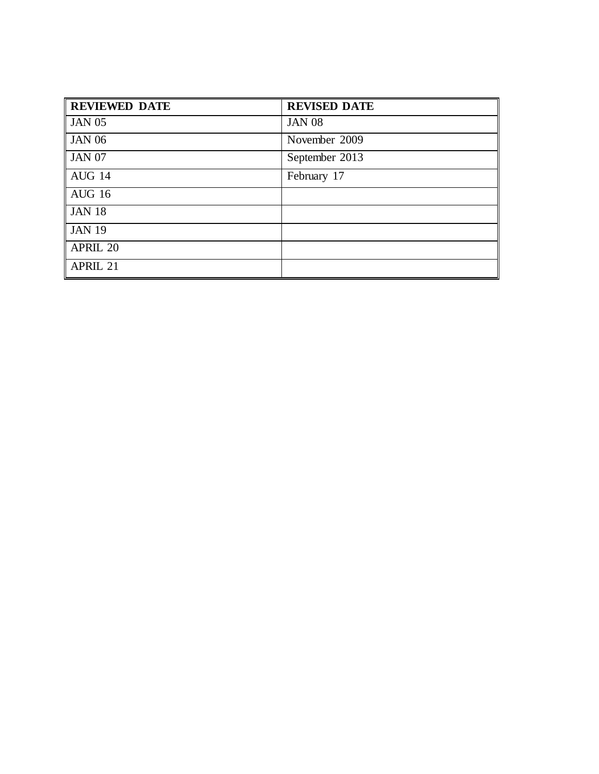| <b>REVIEWED DATE</b> | <b>REVISED DATE</b> |
|----------------------|---------------------|
| <b>JAN 05</b>        | <b>JAN 08</b>       |
| <b>JAN 06</b>        | November 2009       |
| <b>JAN 07</b>        | September 2013      |
| AUG 14               | February 17         |
| <b>AUG 16</b>        |                     |
| <b>JAN 18</b>        |                     |
| <b>JAN 19</b>        |                     |
| <b>APRIL 20</b>      |                     |
| APRIL 21             |                     |